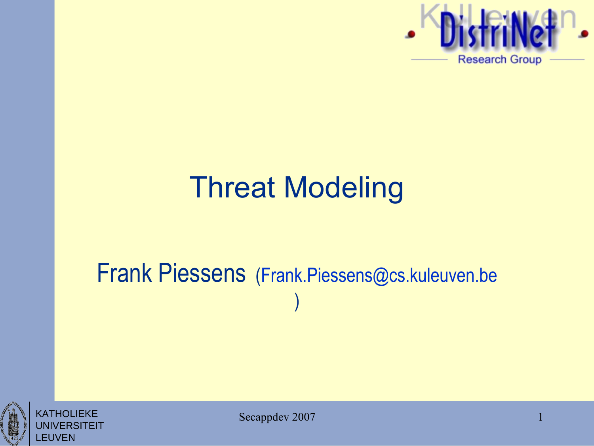

#### Threat Modeling

#### Frank Piessens [\(Frank.Piessens@cs.kuleuven.be](mailto:Frank.Piessens@cs.kuleuven.be) )



KATHOLIEKE **ERSITEIT** LEUVEN

Secappdev 2007

1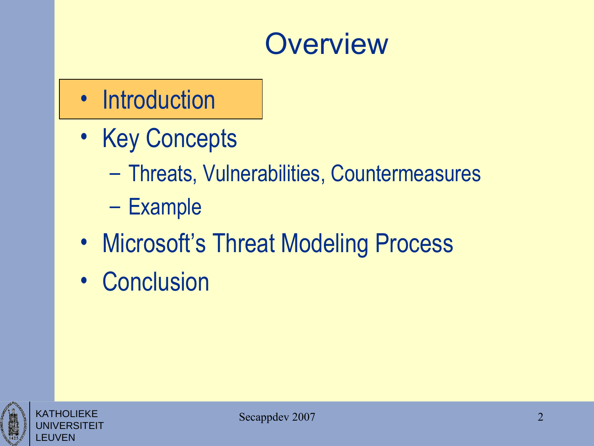#### **Overview**

#### • Introduction

- Key Concepts
	- Threats, Vulnerabilities, Countermeasures
	- Example
- Microsoft's Threat Modeling Process
- Conclusion



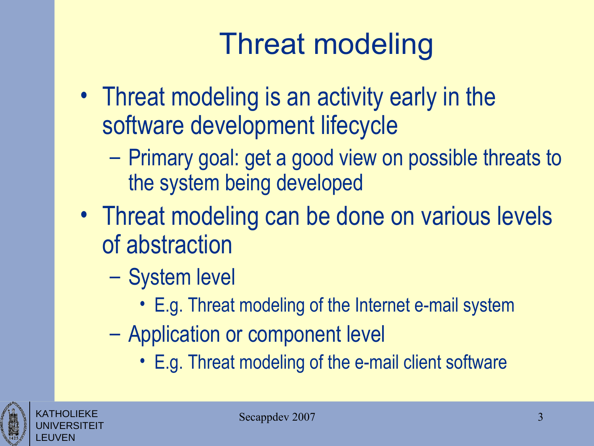### Threat modeling

- Threat modeling is an activity early in the software development lifecycle
	- Primary goal: get a good view on possible threats to the system being developed
- Threat modeling can be done on various levels of abstraction
	- System level
		- E.g. Threat modeling of the Internet e-mail system
	- Application or component level
		- E.g. Threat modeling of the e-mail client software



KATHOLIEKE UNIVERSITEIT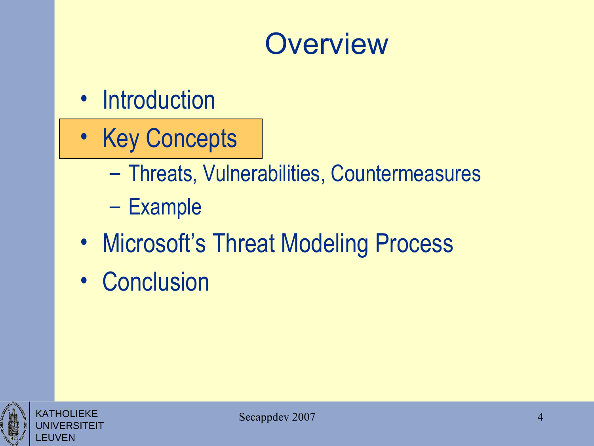#### **Overview**

- Introduction
- Key Concepts
	- Threats, Vulnerabilities, Countermeasures
	- Example
- Microsoft's Threat Modeling Process
- Conclusion



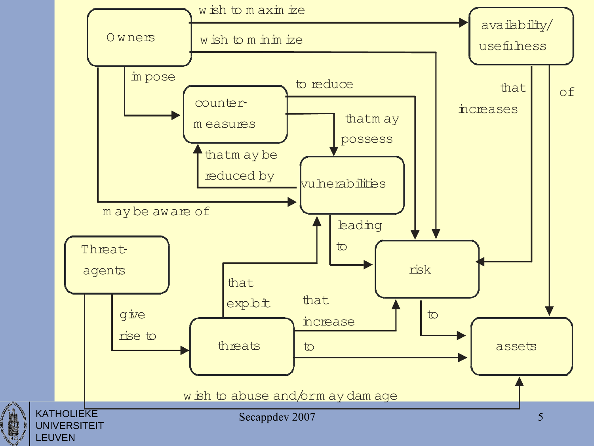

 $\begin{array}{c}\n\mathbf{1} \\
\mathbf{1} \\
\mathbf{1} \\
\mathbf{1} \\
\mathbf{1} \\
\mathbf{1} \\
\mathbf{1} \\
\mathbf{1}\n\end{array}$ LEUVEN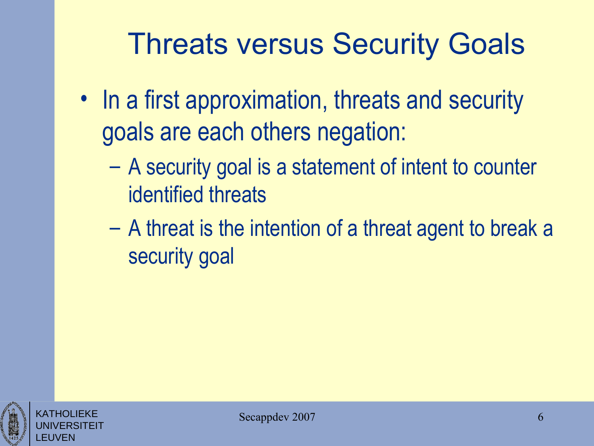#### Threats versus Security Goals

- In a first approximation, threats and security goals are each others negation:
	- A security goal is a statement of intent to counter identified threats
	- A threat is the intention of a threat agent to break a security goal



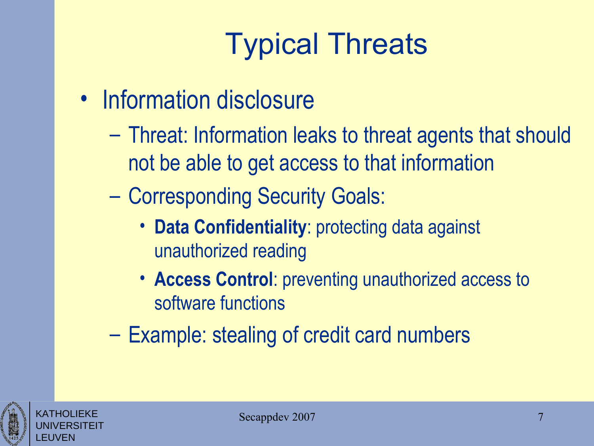- Information disclosure
	- Threat: Information leaks to threat agents that should not be able to get access to that information
	- Corresponding Security Goals:
		- **Data Confidentiality**: protecting data against unauthorized reading
		- **Access Control**: preventing unauthorized access to software functions
	- Example: stealing of credit card numbers

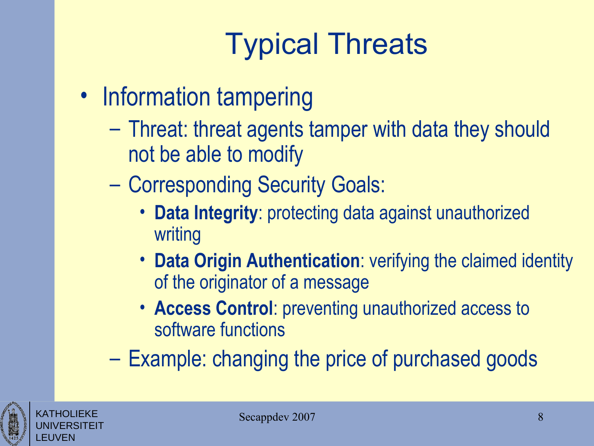- Information tampering
	- Threat: threat agents tamper with data they should not be able to modify
	- Corresponding Security Goals:
		- **Data Integrity**: protecting data against unauthorized writing
		- **Data Origin Authentication**: verifying the claimed identity of the originator of a message
		- **Access Control**: preventing unauthorized access to software functions
	- Example: changing the price of purchased goods



KATHOLIEKE UNIVERSITEIT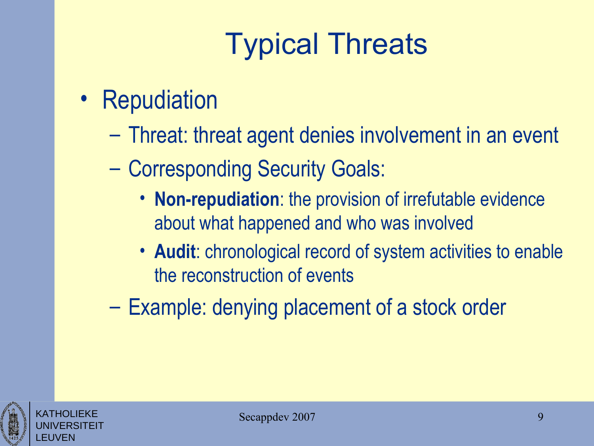- Repudiation
	- Threat: threat agent denies involvement in an event
	- Corresponding Security Goals:
		- **Non-repudiation**: the provision of irrefutable evidence about what happened and who was involved
		- **Audit**: chronological record of system activities to enable the reconstruction of events
	- Example: denying placement of a stock order



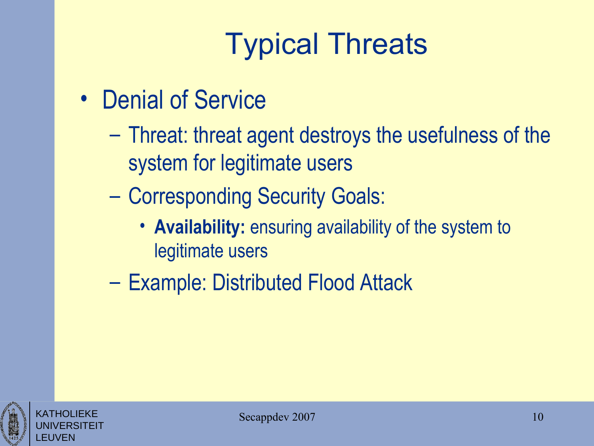- Denial of Service
	- Threat: threat agent destroys the usefulness of the system for legitimate users
	- Corresponding Security Goals:
		- **Availability:** ensuring availability of the system to legitimate users
	- Example: Distributed Flood Attack

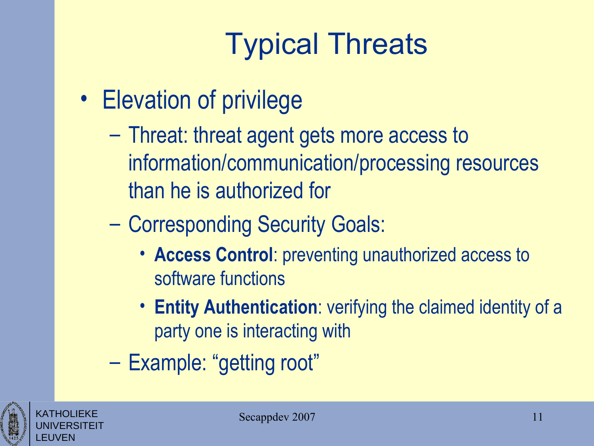- Elevation of privilege
	- Threat: threat agent gets more access to information/communication/processing resources than he is authorized for
	- Corresponding Security Goals:
		- **Access Control**: preventing unauthorized access to software functions
		- **Entity Authentication**: verifying the claimed identity of a party one is interacting with
	- Example: "getting root"



KATHOLIEKE UNIVERSITEIT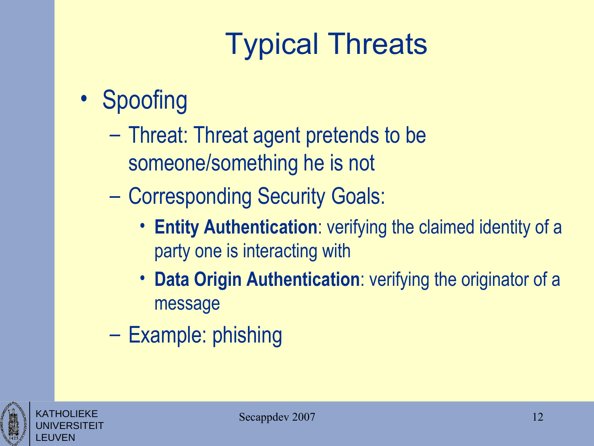#### • Spoofing

- Threat: Threat agent pretends to be someone/something he is not
- Corresponding Security Goals:
	- **Entity Authentication**: verifying the claimed identity of a party one is interacting with
	- **Data Origin Authentication**: verifying the originator of a message
- Example: phishing

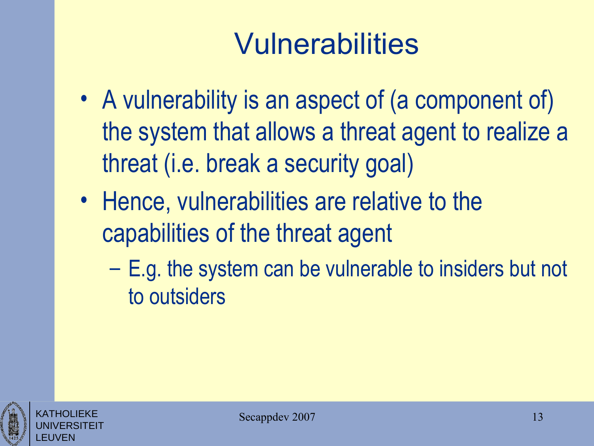- A vulnerability is an aspect of (a component of) the system that allows a threat agent to realize a threat (i.e. break a security goal)
- Hence, vulnerabilities are relative to the capabilities of the threat agent
	- E.g. the system can be vulnerable to insiders but not to outsiders



KATHOLIEKE UNIVERSITEIT

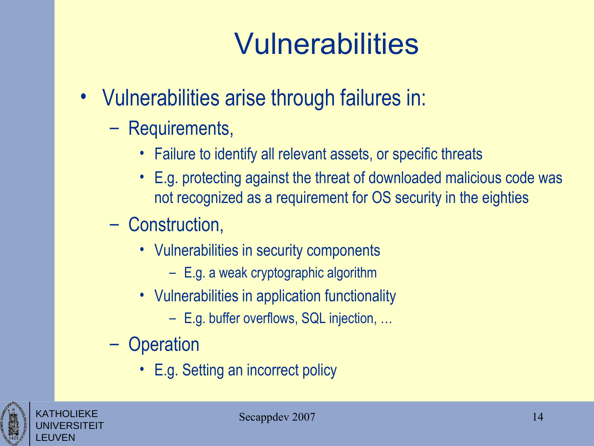- Vulnerabilities arise through failures in:
	- Requirements,
		- Failure to identify all relevant assets, or specific threats
		- E.g. protecting against the threat of downloaded malicious code was not recognized as a requirement for OS security in the eighties
	- Construction,
		- Vulnerabilities in security components
			- E.g. a weak cryptographic algorithm
		- Vulnerabilities in application functionality
			- E.g. buffer overflows, SQL injection, …
	- Operation
		- E.g. Setting an incorrect policy



KATHOLIEKE UNIVERSITEIT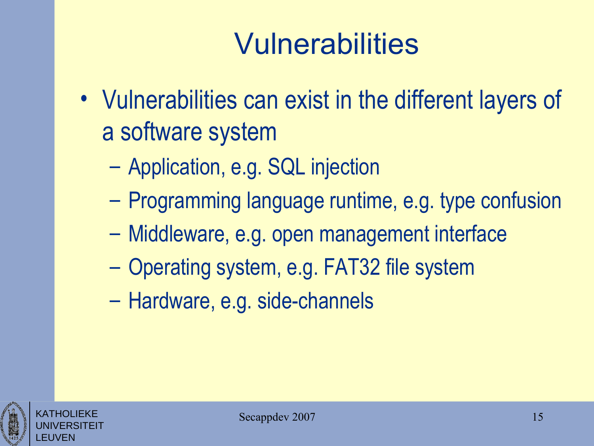- Vulnerabilities can exist in the different layers of a software system
	- Application, e.g. SQL injection
	- Programming language runtime, e.g. type confusion
	- Middleware, e.g. open management interface
	- Operating system, e.g. FAT32 file system
	- Hardware, e.g. side-channels

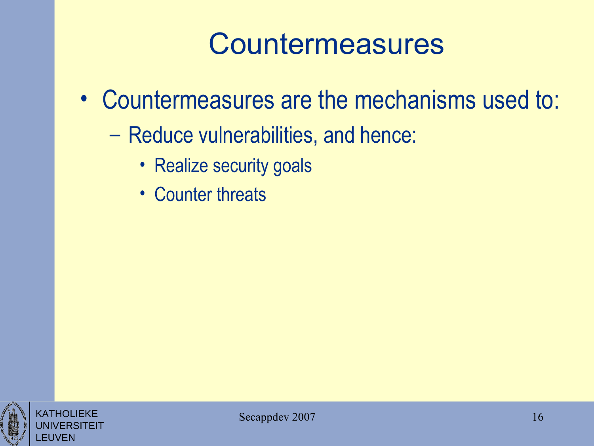#### Countermeasures

- Countermeasures are the mechanisms used to:
	- Reduce vulnerabilities, and hence:
		- Realize security goals
		- Counter threats



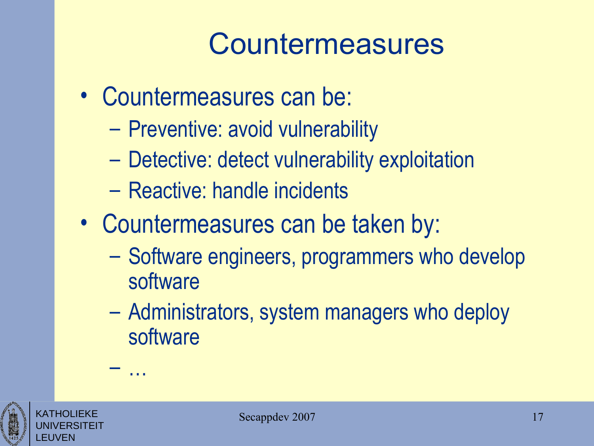#### Countermeasures

- Countermeasures can be:
	- Preventive: avoid vulnerability
	- Detective: detect vulnerability exploitation
	- Reactive: handle incidents
- Countermeasures can be taken by:
	- Software engineers, programmers who develop software
	- Administrators, system managers who deploy software



KATHOLIEKE UNIVERSITEIT – …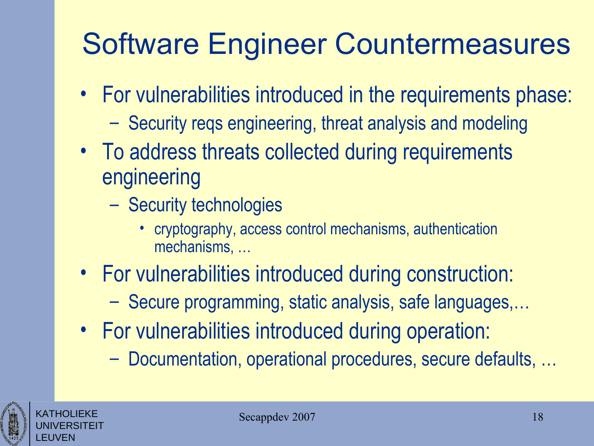### Software Engineer Countermeasures

- For vulnerabilities introduced in the requirements phase:
	- Security reqs engineering, threat analysis and modeling
- To address threats collected during requirements engineering
	- Security technologies
		- cryptography, access control mechanisms, authentication mechanisms, …
- For vulnerabilities introduced during construction:
	- Secure programming, static analysis, safe languages,…
- For vulnerabilities introduced during operation:
	- Documentation, operational procedures, secure defaults, …



KATHOLIEKE UNIVERSITEIT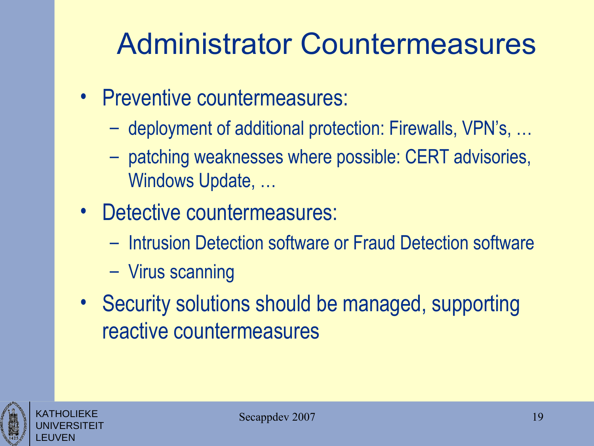#### Administrator Countermeasures

- Preventive countermeasures:
	- deployment of additional protection: Firewalls, VPN's, …
	- patching weaknesses where possible: CERT advisories, Windows Update, …
- Detective countermeasures:
	- Intrusion Detection software or Fraud Detection software
	- Virus scanning
- Security solutions should be managed, supporting reactive countermeasures



KATHOLIEKE UNIVERSITEIT

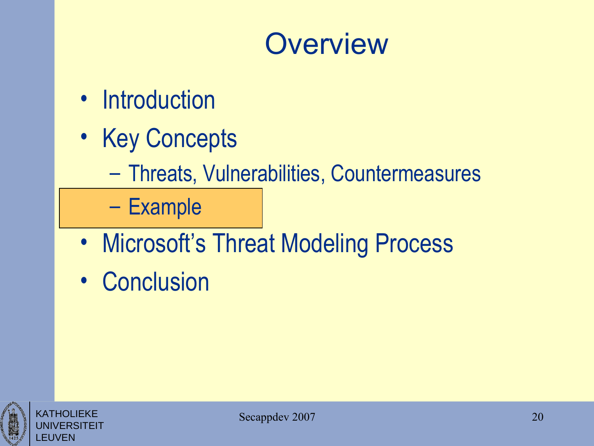#### **Overview**

- Introduction
- Key Concepts
	- Threats, Vulnerabilities, Countermeasures

– Example

- Microsoft's Threat Modeling Process
- Conclusion

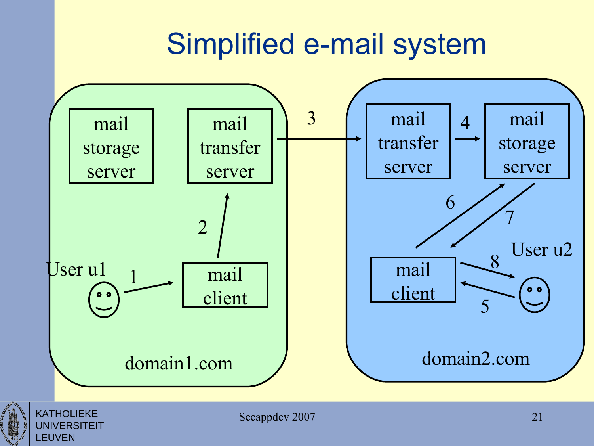#### Simplified e-mail system





KATHOLIEKE UNIVERSITEIT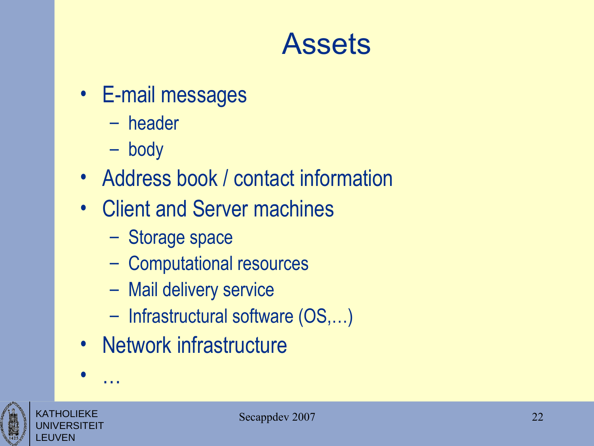#### Assets

- E-mail messages
	- header
	- body
- Address book / contact information
- Client and Server machines
	- Storage space
	- Computational resources
	- Mail delivery service
	- Infrastructural software (OS,…)
- Network infrastructure



• …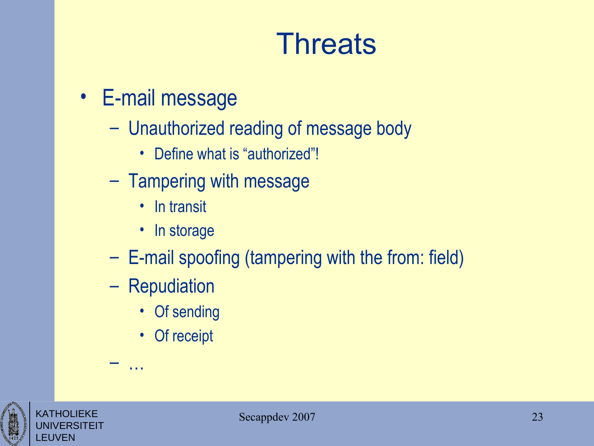#### **Threats**

- E-mail message
	- Unauthorized reading of message body
		- Define what is "authorized"!
	- Tampering with message
		- In transit
		- In storage
	- E-mail spoofing (tampering with the from: field)
	- Repudiation

– …

- Of sending
- Of receipt



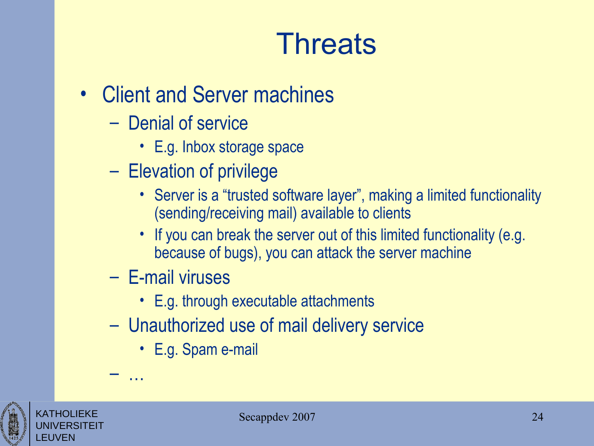#### **Threats**

- Client and Server machines
	- Denial of service
		- E.g. Inbox storage space
	- Elevation of privilege
		- Server is a "trusted software layer", making a limited functionality (sending/receiving mail) available to clients
		- If you can break the server out of this limited functionality (e.g. because of bugs), you can attack the server machine
	- E-mail viruses

– …

- E.g. through executable attachments
- Unauthorized use of mail delivery service
	- E.g. Spam e-mail



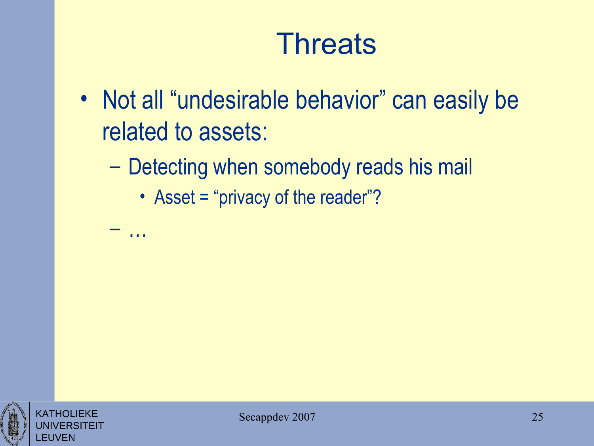#### **Threats**

- Not all "undesirable behavior" can easily be related to assets:
	- Detecting when somebody reads his mail
		- Asset = "privacy of the reader"?

– …

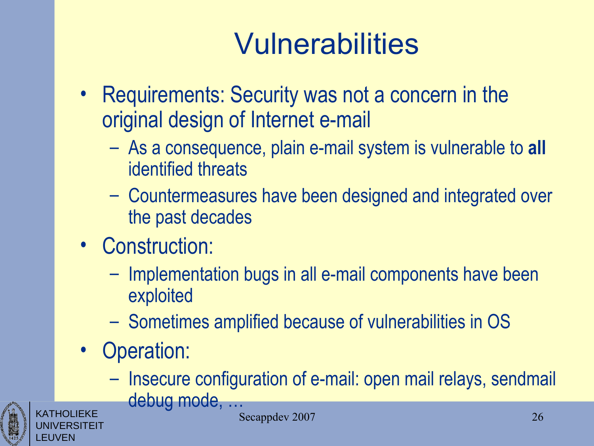- Requirements: Security was not a concern in the original design of Internet e-mail
	- As a consequence, plain e-mail system is vulnerable to **all** identified threats
	- Countermeasures have been designed and integrated over the past decades
- Construction:
	- Implementation bugs in all e-mail components have been exploited
	- Sometimes amplified because of vulnerabilities in OS
- Operation:
	- Insecure configuration of e-mail: open mail relays, sendmail





Secappdev 2007 26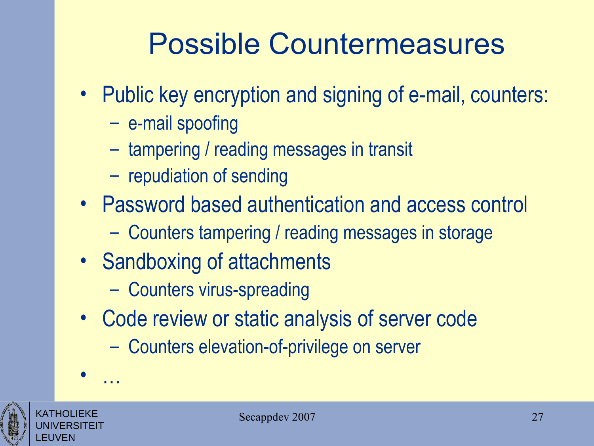#### Possible Countermeasures

- Public key encryption and signing of e-mail, counters:
	- e-mail spoofing
	- tampering / reading messages in transit
	- repudiation of sending
- Password based authentication and access control
	- Counters tampering / reading messages in storage
- Sandboxing of attachments
	- Counters virus-spreading
- Code review or static analysis of server code
	- Counters elevation-of-privilege on server





• …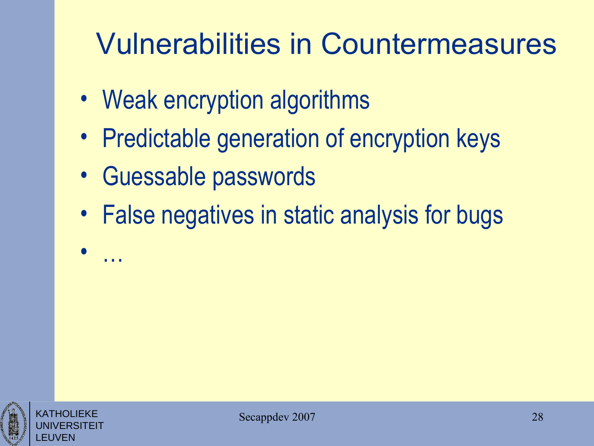#### Vulnerabilities in Countermeasures

- Weak encryption algorithms
- Predictable generation of encryption keys
- Guessable passwords

• …

• False negatives in static analysis for bugs

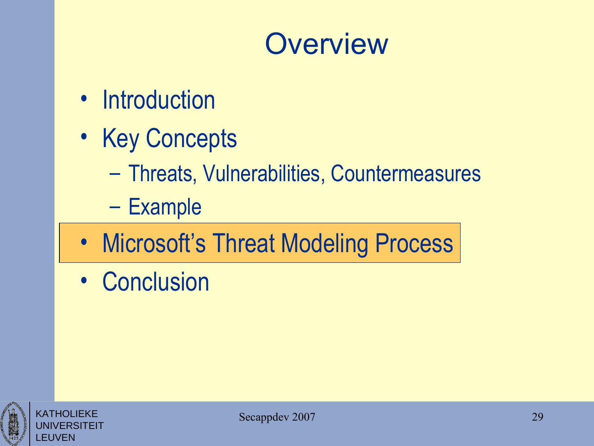#### **Overview**

- Introduction
- Key Concepts
	- Threats, Vulnerabilities, Countermeasures
	- Example
- Microsoft's Threat Modeling Process
- Conclusion



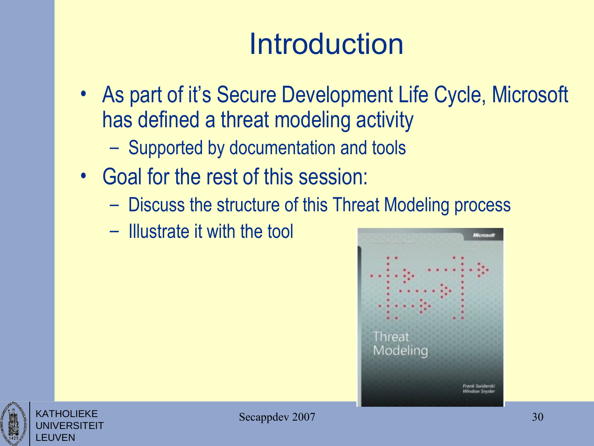### **Introduction**

- As part of it's Secure Development Life Cycle, Microsoft has defined a threat modeling activity
	- Supported by documentation and tools
- Goal for the rest of this session:
	- Discuss the structure of this Threat Modeling process
	- Illustrate it with the tool



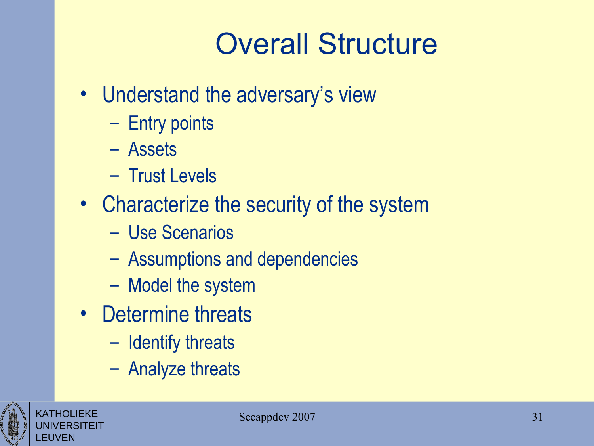### Overall Structure

- Understand the adversary's view
	- Entry points
	- Assets
	- Trust Levels
- Characterize the security of the system
	- Use Scenarios
	- Assumptions and dependencies
	- Model the system
- Determine threats
	- Identify threats
	- Analyze threats



KATHOLIEKE UNIVERSITEIT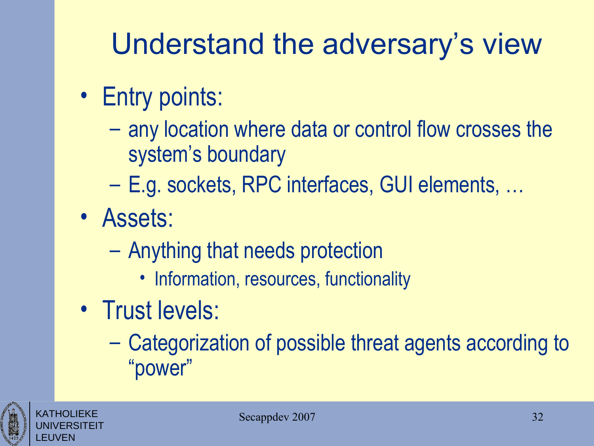### Understand the adversary's view

- Entry points:
	- any location where data or control flow crosses the system's boundary
	- E.g. sockets, RPC interfaces, GUI elements, …
- Assets:
	- Anything that needs protection
		- Information, resources, functionality
- Trust levels:
	- Categorization of possible threat agents according to "power"



KATHOLIEKE UNIVERSITEIT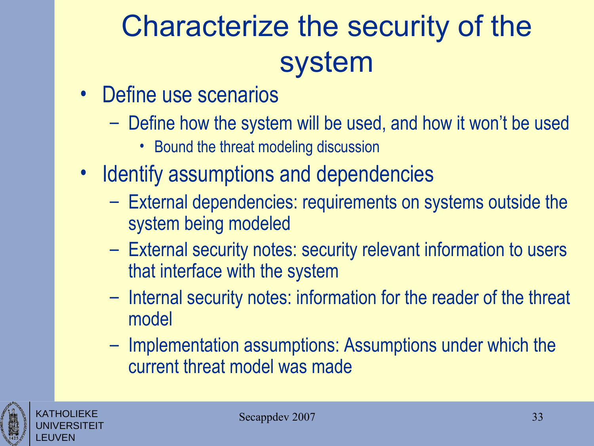### Characterize the security of the system

- Define use scenarios
	- Define how the system will be used, and how it won't be used
		- Bound the threat modeling discussion
- Identify assumptions and dependencies
	- External dependencies: requirements on systems outside the system being modeled
	- External security notes: security relevant information to users that interface with the system
	- Internal security notes: information for the reader of the threat model
	- Implementation assumptions: Assumptions under which the current threat model was made



KATHOLIEKE UNIVERSITEIT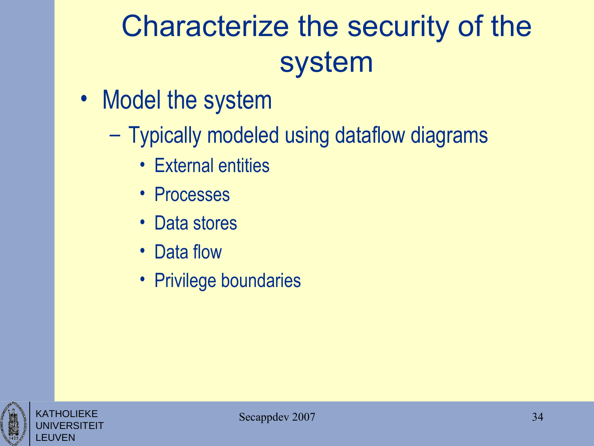### Characterize the security of the system

- Model the system
	- Typically modeled using dataflow diagrams
		- External entities
		- Processes
		- Data stores
		- Data flow
		- Privilege boundaries



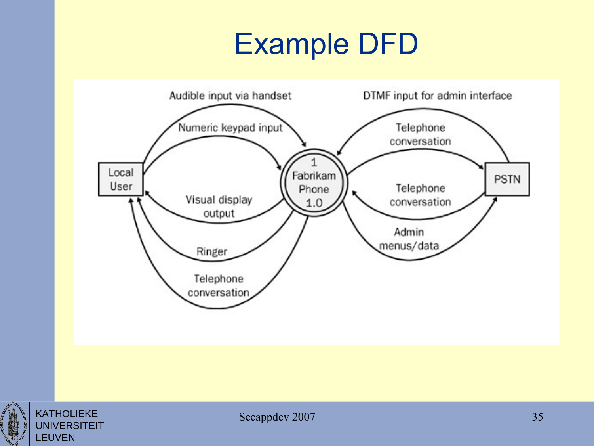### Example DFD



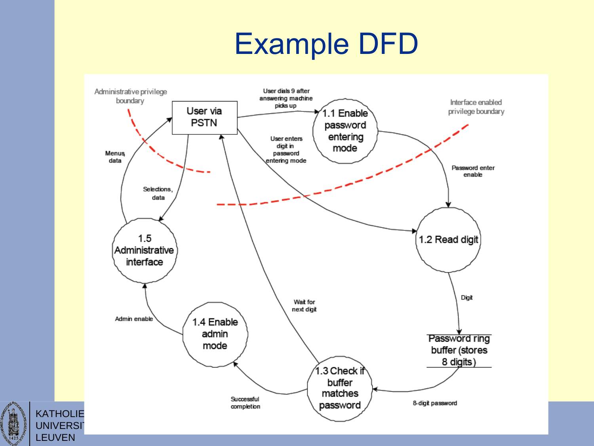#### Example DFD



 $\begin{array}{c}\n\hline\n\text{14.25}\n\end{array}$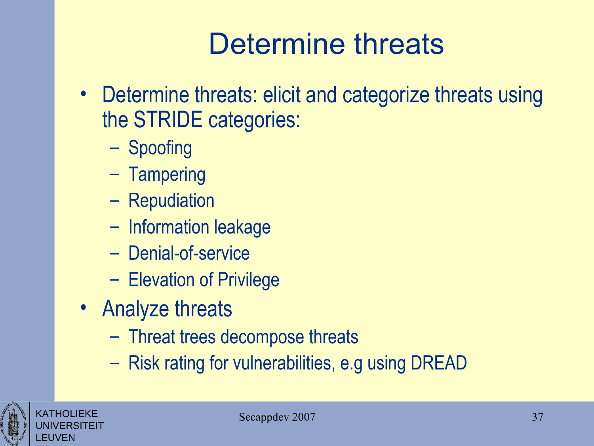### Determine threats

- Determine threats: elicit and categorize threats using the STRIDE categories:
	- Spoofing
	- Tampering
	- Repudiation
	- Information leakage
	- Denial-of-service
	- Elevation of Privilege
- Analyze threats
	- Threat trees decompose threats
	- Risk rating for vulnerabilities, e.g using DREAD



KATHOLIEKE UNIVERSITEIT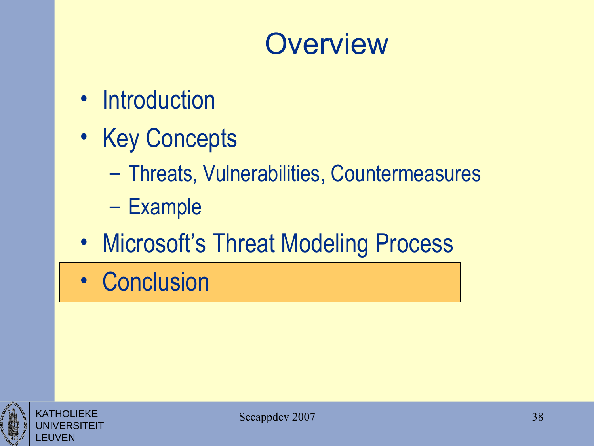#### **Overview**

- Introduction
- Key Concepts
	- Threats, Vulnerabilities, Countermeasures
	- Example
- Microsoft's Threat Modeling Process
- Conclusion